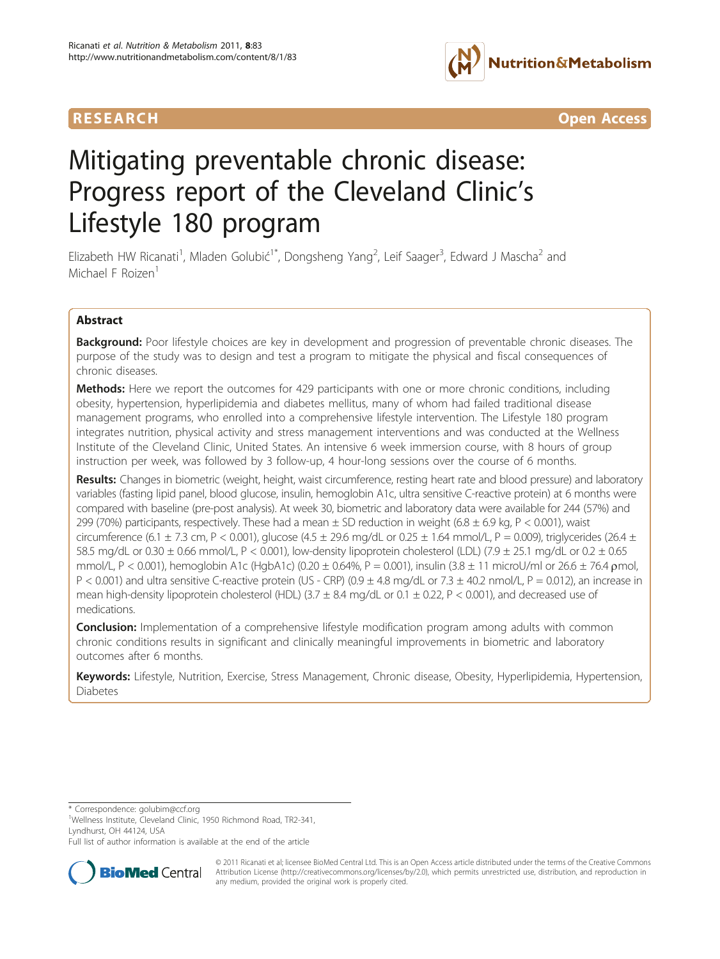





# Mitigating preventable chronic disease: Progress report of the Cleveland Clinic's Lifestyle 180 program

Elizabeth HW Ricanati<sup>1</sup>, Mladen Golubić<sup>1\*</sup>, Dongsheng Yang<sup>2</sup>, Leif Saager<sup>3</sup>, Edward J Mascha<sup>2</sup> and Michael F Roizen<sup>1</sup>

# Abstract

**Background:** Poor lifestyle choices are key in development and progression of preventable chronic diseases. The purpose of the study was to design and test a program to mitigate the physical and fiscal consequences of chronic diseases.

**Methods:** Here we report the outcomes for 429 participants with one or more chronic conditions, including obesity, hypertension, hyperlipidemia and diabetes mellitus, many of whom had failed traditional disease management programs, who enrolled into a comprehensive lifestyle intervention. The Lifestyle 180 program integrates nutrition, physical activity and stress management interventions and was conducted at the Wellness Institute of the Cleveland Clinic, United States. An intensive 6 week immersion course, with 8 hours of group instruction per week, was followed by 3 follow-up, 4 hour-long sessions over the course of 6 months.

Results: Changes in biometric (weight, height, waist circumference, resting heart rate and blood pressure) and laboratory variables (fasting lipid panel, blood glucose, insulin, hemoglobin A1c, ultra sensitive C-reactive protein) at 6 months were compared with baseline (pre-post analysis). At week 30, biometric and laboratory data were available for 244 (57%) and 299 (70%) participants, respectively. These had a mean  $\pm$  SD reduction in weight (6.8  $\pm$  6.9 kg, P < 0.001), waist circumference (6.1  $\pm$  7.3 cm, P < 0.001), glucose (4.5  $\pm$  29.6 mg/dL or 0.25  $\pm$  1.64 mmol/L, P = 0.009), triglycerides (26.4  $\pm$ 58.5 mg/dL or 0.30 ± 0.66 mmol/L, P < 0.001), low-density lipoprotein cholesterol (LDL) (7.9 ± 25.1 mg/dL or 0.2 ± 0.65 mmol/L, P < 0.001), hemoglobin A1c (HgbA1c) (0.20 ± 0.64%, P = 0.001), insulin (3.8 ± 11 microU/ml or 26.6 ± 76.4 pmol,  $P < 0.001$ ) and ultra sensitive C-reactive protein (US - CRP) (0.9  $\pm$  4.8 mg/dL or 7.3  $\pm$  40.2 nmol/L,  $P = 0.012$ ), an increase in mean high-density lipoprotein cholesterol (HDL) (3.7  $\pm$  8.4 mg/dL or 0.1  $\pm$  0.22, P < 0.001), and decreased use of medications.

**Conclusion:** Implementation of a comprehensive lifestyle modification program among adults with common chronic conditions results in significant and clinically meaningful improvements in biometric and laboratory outcomes after 6 months.

Keywords: Lifestyle, Nutrition, Exercise, Stress Management, Chronic disease, Obesity, Hyperlipidemia, Hypertension, **Diabetes** 

\* Correspondence: [golubim@ccf.org](mailto:golubim@ccf.org)

Full list of author information is available at the end of the article



© 2011 Ricanati et al; licensee BioMed Central Ltd. This is an Open Access article distributed under the terms of the Creative Commons Attribution License [\(http://creativecommons.org/licenses/by/2.0](http://creativecommons.org/licenses/by/2.0)), which permits unrestricted use, distribution, and reproduction in any medium, provided the original work is properly cited.

<sup>1</sup> Wellness Institute, Cleveland Clinic, 1950 Richmond Road, TR2-341, Lyndhurst, OH 44124, USA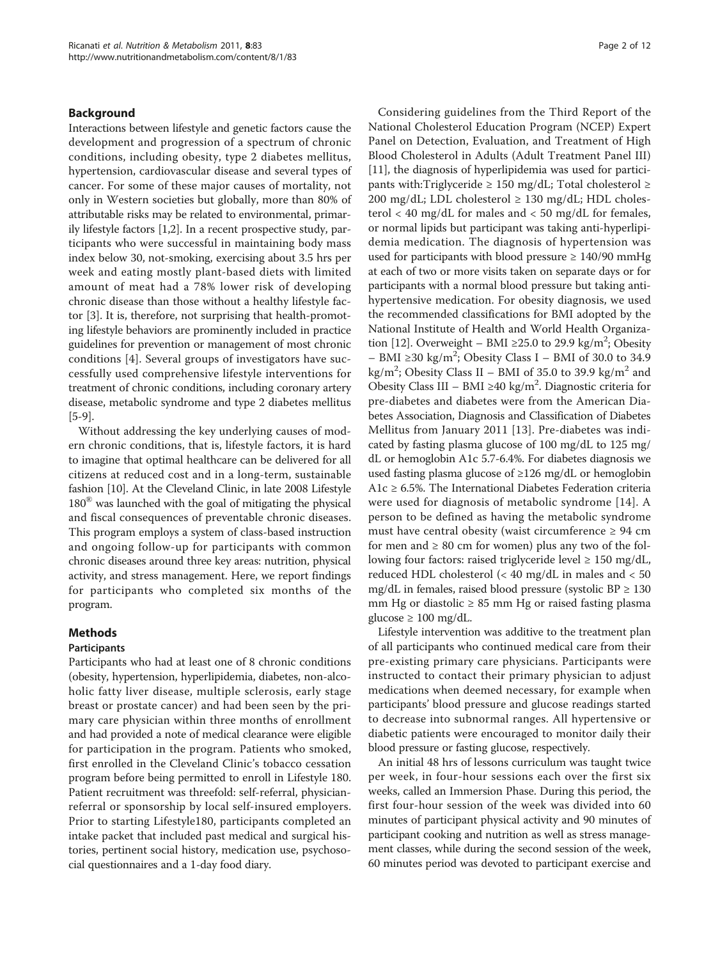## Background

Interactions between lifestyle and genetic factors cause the development and progression of a spectrum of chronic conditions, including obesity, type 2 diabetes mellitus, hypertension, cardiovascular disease and several types of cancer. For some of these major causes of mortality, not only in Western societies but globally, more than 80% of attributable risks may be related to environmental, primarily lifestyle factors [[1,2\]](#page-10-0). In a recent prospective study, participants who were successful in maintaining body mass index below 30, not-smoking, exercising about 3.5 hrs per week and eating mostly plant-based diets with limited amount of meat had a 78% lower risk of developing chronic disease than those without a healthy lifestyle factor [[3](#page-10-0)]. It is, therefore, not surprising that health-promoting lifestyle behaviors are prominently included in practice guidelines for prevention or management of most chronic conditions [[4\]](#page-10-0). Several groups of investigators have successfully used comprehensive lifestyle interventions for treatment of chronic conditions, including coronary artery disease, metabolic syndrome and type 2 diabetes mellitus [[5-9\]](#page-10-0).

Without addressing the key underlying causes of modern chronic conditions, that is, lifestyle factors, it is hard to imagine that optimal healthcare can be delivered for all citizens at reduced cost and in a long-term, sustainable fashion [\[10](#page-10-0)]. At the Cleveland Clinic, in late 2008 Lifestyle 180<sup>®</sup> was launched with the goal of mitigating the physical and fiscal consequences of preventable chronic diseases. This program employs a system of class-based instruction and ongoing follow-up for participants with common chronic diseases around three key areas: nutrition, physical activity, and stress management. Here, we report findings for participants who completed six months of the program.

## Methods

## Participants

Participants who had at least one of 8 chronic conditions (obesity, hypertension, hyperlipidemia, diabetes, non-alcoholic fatty liver disease, multiple sclerosis, early stage breast or prostate cancer) and had been seen by the primary care physician within three months of enrollment and had provided a note of medical clearance were eligible for participation in the program. Patients who smoked, first enrolled in the Cleveland Clinic's tobacco cessation program before being permitted to enroll in Lifestyle 180. Patient recruitment was threefold: self-referral, physicianreferral or sponsorship by local self-insured employers. Prior to starting Lifestyle180, participants completed an intake packet that included past medical and surgical histories, pertinent social history, medication use, psychosocial questionnaires and a 1-day food diary.

Considering guidelines from the Third Report of the National Cholesterol Education Program (NCEP) Expert Panel on Detection, Evaluation, and Treatment of High Blood Cholesterol in Adults (Adult Treatment Panel III) [[11\]](#page-10-0), the diagnosis of hyperlipidemia was used for participants with:Triglyceride  $\geq$  150 mg/dL; Total cholesterol  $\geq$ 200 mg/dL; LDL cholesterol  $\geq$  130 mg/dL; HDL cholesterol  $<$  40 mg/dL for males and  $<$  50 mg/dL for females, or normal lipids but participant was taking anti-hyperlipidemia medication. The diagnosis of hypertension was used for participants with blood pressure  $\geq 140/90$  mmHg at each of two or more visits taken on separate days or for participants with a normal blood pressure but taking antihypertensive medication. For obesity diagnosis, we used the recommended classifications for BMI adopted by the National Institute of Health and World Health Organiza-tion [[12](#page-10-0)]. Overweight - BMI ≥25.0 to 29.9 kg/m<sup>2</sup>; Obesity  $-$  BMI ≥30 kg/m<sup>2</sup>; Obesity Class I – BMI of 30.0 to 34.9 kg/m<sup>2</sup>; Obesity Class II - BMI of 35.0 to 39.9 kg/m<sup>2</sup> and Obesity Class III – BMI ≥40 kg/m2 . Diagnostic criteria for pre-diabetes and diabetes were from the American Diabetes Association, Diagnosis and Classification of Diabetes Mellitus from January 2011 [[13\]](#page-10-0). Pre-diabetes was indicated by fasting plasma glucose of 100 mg/dL to 125 mg/ dL or hemoglobin A1c 5.7-6.4%. For diabetes diagnosis we used fasting plasma glucose of ≥126 mg/dL or hemoglobin A1 $c \ge 6.5$ %. The International Diabetes Federation criteria were used for diagnosis of metabolic syndrome [[14\]](#page-10-0). A person to be defined as having the metabolic syndrome must have central obesity (waist circumference  $\geq 94$  cm for men and  $\geq 80$  cm for women) plus any two of the following four factors: raised triglyceride level  $\geq 150$  mg/dL, reduced HDL cholesterol (< 40 mg/dL in males and < 50 mg/dL in females, raised blood pressure (systolic  $BP \ge 130$ mm Hg or diastolic  $\geq$  85 mm Hg or raised fasting plasma glucose ≥ 100 mg/dL.

Lifestyle intervention was additive to the treatment plan of all participants who continued medical care from their pre-existing primary care physicians. Participants were instructed to contact their primary physician to adjust medications when deemed necessary, for example when participants' blood pressure and glucose readings started to decrease into subnormal ranges. All hypertensive or diabetic patients were encouraged to monitor daily their blood pressure or fasting glucose, respectively.

An initial 48 hrs of lessons curriculum was taught twice per week, in four-hour sessions each over the first six weeks, called an Immersion Phase. During this period, the first four-hour session of the week was divided into 60 minutes of participant physical activity and 90 minutes of participant cooking and nutrition as well as stress management classes, while during the second session of the week, 60 minutes period was devoted to participant exercise and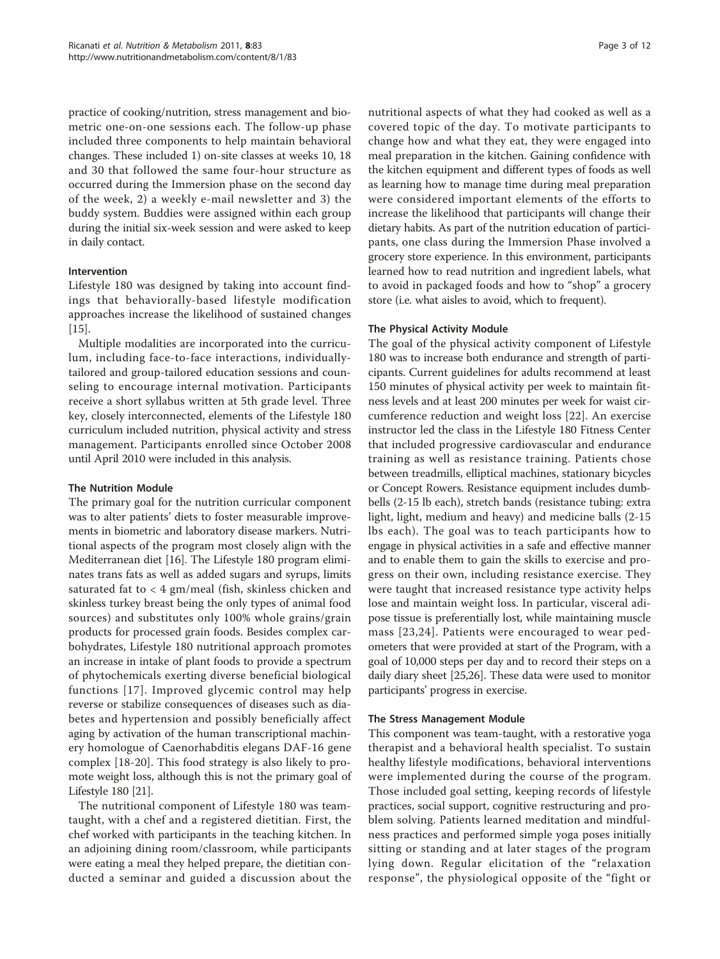practice of cooking/nutrition, stress management and biometric one-on-one sessions each. The follow-up phase included three components to help maintain behavioral changes. These included 1) on-site classes at weeks 10, 18 and 30 that followed the same four-hour structure as occurred during the Immersion phase on the second day of the week, 2) a weekly e-mail newsletter and 3) the buddy system. Buddies were assigned within each group during the initial six-week session and were asked to keep in daily contact.

# Intervention

Lifestyle 180 was designed by taking into account findings that behaviorally-based lifestyle modification approaches increase the likelihood of sustained changes [[15\]](#page-10-0).

Multiple modalities are incorporated into the curriculum, including face-to-face interactions, individuallytailored and group-tailored education sessions and counseling to encourage internal motivation. Participants receive a short syllabus written at 5th grade level. Three key, closely interconnected, elements of the Lifestyle 180 curriculum included nutrition, physical activity and stress management. Participants enrolled since October 2008 until April 2010 were included in this analysis.

# The Nutrition Module

The primary goal for the nutrition curricular component was to alter patients' diets to foster measurable improvements in biometric and laboratory disease markers. Nutritional aspects of the program most closely align with the Mediterranean diet [[16\]](#page-10-0). The Lifestyle 180 program eliminates trans fats as well as added sugars and syrups, limits saturated fat to < 4 gm/meal (fish, skinless chicken and skinless turkey breast being the only types of animal food sources) and substitutes only 100% whole grains/grain products for processed grain foods. Besides complex carbohydrates, Lifestyle 180 nutritional approach promotes an increase in intake of plant foods to provide a spectrum of phytochemicals exerting diverse beneficial biological functions [[17\]](#page-10-0). Improved glycemic control may help reverse or stabilize consequences of diseases such as diabetes and hypertension and possibly beneficially affect aging by activation of the human transcriptional machinery homologue of Caenorhabditis elegans DAF-16 gene complex [[18-20\]](#page-10-0). This food strategy is also likely to promote weight loss, although this is not the primary goal of Lifestyle 180 [\[21\]](#page-10-0).

The nutritional component of Lifestyle 180 was teamtaught, with a chef and a registered dietitian. First, the chef worked with participants in the teaching kitchen. In an adjoining dining room/classroom, while participants were eating a meal they helped prepare, the dietitian conducted a seminar and guided a discussion about the nutritional aspects of what they had cooked as well as a covered topic of the day. To motivate participants to change how and what they eat, they were engaged into meal preparation in the kitchen. Gaining confidence with the kitchen equipment and different types of foods as well as learning how to manage time during meal preparation were considered important elements of the efforts to increase the likelihood that participants will change their dietary habits. As part of the nutrition education of participants, one class during the Immersion Phase involved a grocery store experience. In this environment, participants learned how to read nutrition and ingredient labels, what to avoid in packaged foods and how to "shop" a grocery store (i.e. what aisles to avoid, which to frequent).

## The Physical Activity Module

The goal of the physical activity component of Lifestyle 180 was to increase both endurance and strength of participants. Current guidelines for adults recommend at least 150 minutes of physical activity per week to maintain fitness levels and at least 200 minutes per week for waist circumference reduction and weight loss [[22](#page-10-0)]. An exercise instructor led the class in the Lifestyle 180 Fitness Center that included progressive cardiovascular and endurance training as well as resistance training. Patients chose between treadmills, elliptical machines, stationary bicycles or Concept Rowers. Resistance equipment includes dumbbells (2-15 lb each), stretch bands (resistance tubing: extra light, light, medium and heavy) and medicine balls (2-15 lbs each). The goal was to teach participants how to engage in physical activities in a safe and effective manner and to enable them to gain the skills to exercise and progress on their own, including resistance exercise. They were taught that increased resistance type activity helps lose and maintain weight loss. In particular, visceral adipose tissue is preferentially lost, while maintaining muscle mass [[23,24\]](#page-10-0). Patients were encouraged to wear pedometers that were provided at start of the Program, with a goal of 10,000 steps per day and to record their steps on a daily diary sheet [[25,26](#page-10-0)]. These data were used to monitor participants' progress in exercise.

## The Stress Management Module

This component was team-taught, with a restorative yoga therapist and a behavioral health specialist. To sustain healthy lifestyle modifications, behavioral interventions were implemented during the course of the program. Those included goal setting, keeping records of lifestyle practices, social support, cognitive restructuring and problem solving. Patients learned meditation and mindfulness practices and performed simple yoga poses initially sitting or standing and at later stages of the program lying down. Regular elicitation of the "relaxation response", the physiological opposite of the "fight or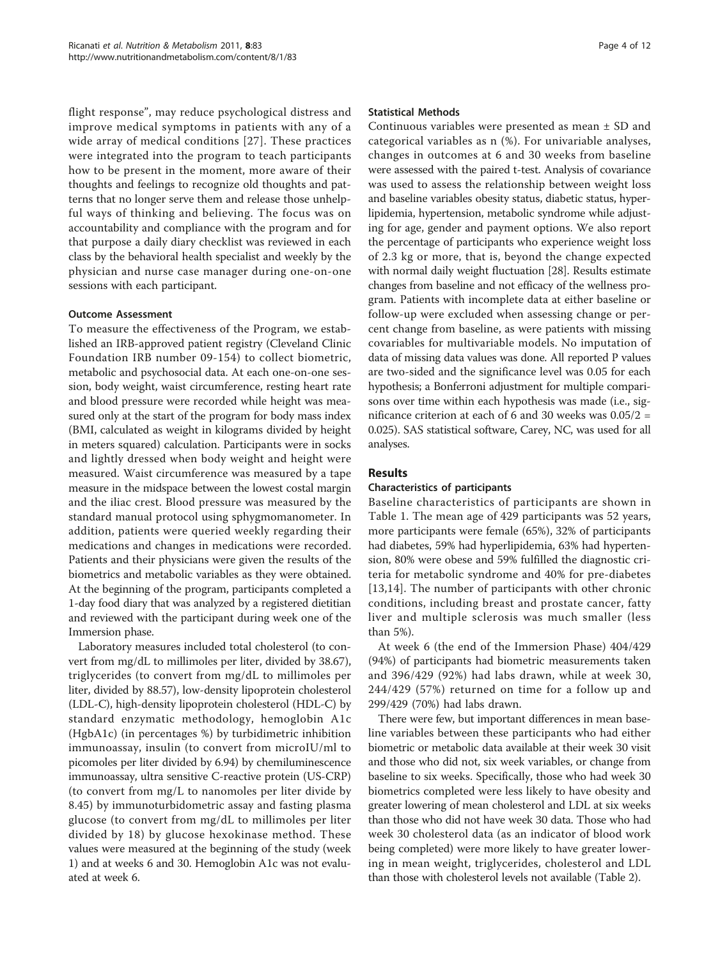flight response", may reduce psychological distress and improve medical symptoms in patients with any of a wide array of medical conditions [[27\]](#page-11-0). These practices were integrated into the program to teach participants how to be present in the moment, more aware of their thoughts and feelings to recognize old thoughts and patterns that no longer serve them and release those unhelpful ways of thinking and believing. The focus was on accountability and compliance with the program and for that purpose a daily diary checklist was reviewed in each class by the behavioral health specialist and weekly by the physician and nurse case manager during one-on-one sessions with each participant.

## Outcome Assessment

To measure the effectiveness of the Program, we established an IRB-approved patient registry (Cleveland Clinic Foundation IRB number 09-154) to collect biometric, metabolic and psychosocial data. At each one-on-one session, body weight, waist circumference, resting heart rate and blood pressure were recorded while height was measured only at the start of the program for body mass index (BMI, calculated as weight in kilograms divided by height in meters squared) calculation. Participants were in socks and lightly dressed when body weight and height were measured. Waist circumference was measured by a tape measure in the midspace between the lowest costal margin and the iliac crest. Blood pressure was measured by the standard manual protocol using sphygmomanometer. In addition, patients were queried weekly regarding their medications and changes in medications were recorded. Patients and their physicians were given the results of the biometrics and metabolic variables as they were obtained. At the beginning of the program, participants completed a 1-day food diary that was analyzed by a registered dietitian and reviewed with the participant during week one of the Immersion phase.

Laboratory measures included total cholesterol (to convert from mg/dL to millimoles per liter, divided by 38.67), triglycerides (to convert from mg/dL to millimoles per liter, divided by 88.57), low-density lipoprotein cholesterol (LDL-C), high-density lipoprotein cholesterol (HDL-C) by standard enzymatic methodology, hemoglobin A1c (HgbA1c) (in percentages %) by turbidimetric inhibition immunoassay, insulin (to convert from microIU/ml to picomoles per liter divided by 6.94) by chemiluminescence immunoassay, ultra sensitive C-reactive protein (US-CRP) (to convert from mg/L to nanomoles per liter divide by 8.45) by immunoturbidometric assay and fasting plasma glucose (to convert from mg/dL to millimoles per liter divided by 18) by glucose hexokinase method. These values were measured at the beginning of the study (week 1) and at weeks 6 and 30. Hemoglobin A1c was not evaluated at week 6.

#### Statistical Methods

Continuous variables were presented as mean ± SD and categorical variables as n (%). For univariable analyses, changes in outcomes at 6 and 30 weeks from baseline were assessed with the paired t-test. Analysis of covariance was used to assess the relationship between weight loss and baseline variables obesity status, diabetic status, hyperlipidemia, hypertension, metabolic syndrome while adjusting for age, gender and payment options. We also report the percentage of participants who experience weight loss of 2.3 kg or more, that is, beyond the change expected with normal daily weight fluctuation [\[28](#page-11-0)]. Results estimate changes from baseline and not efficacy of the wellness program. Patients with incomplete data at either baseline or follow-up were excluded when assessing change or percent change from baseline, as were patients with missing covariables for multivariable models. No imputation of data of missing data values was done. All reported P values are two-sided and the significance level was 0.05 for each hypothesis; a Bonferroni adjustment for multiple comparisons over time within each hypothesis was made (i.e., significance criterion at each of 6 and 30 weeks was 0.05/2 = 0.025). SAS statistical software, Carey, NC, was used for all analyses.

## Results

## Characteristics of participants

Baseline characteristics of participants are shown in Table [1](#page-4-0). The mean age of 429 participants was 52 years, more participants were female (65%), 32% of participants had diabetes, 59% had hyperlipidemia, 63% had hypertension, 80% were obese and 59% fulfilled the diagnostic criteria for metabolic syndrome and 40% for pre-diabetes [[13](#page-10-0),[14\]](#page-10-0). The number of participants with other chronic conditions, including breast and prostate cancer, fatty liver and multiple sclerosis was much smaller (less than 5%).

At week 6 (the end of the Immersion Phase) 404/429 (94%) of participants had biometric measurements taken and 396/429 (92%) had labs drawn, while at week 30, 244/429 (57%) returned on time for a follow up and 299/429 (70%) had labs drawn.

There were few, but important differences in mean baseline variables between these participants who had either biometric or metabolic data available at their week 30 visit and those who did not, six week variables, or change from baseline to six weeks. Specifically, those who had week 30 biometrics completed were less likely to have obesity and greater lowering of mean cholesterol and LDL at six weeks than those who did not have week 30 data. Those who had week 30 cholesterol data (as an indicator of blood work being completed) were more likely to have greater lowering in mean weight, triglycerides, cholesterol and LDL than those with cholesterol levels not available (Table [2\)](#page-5-0).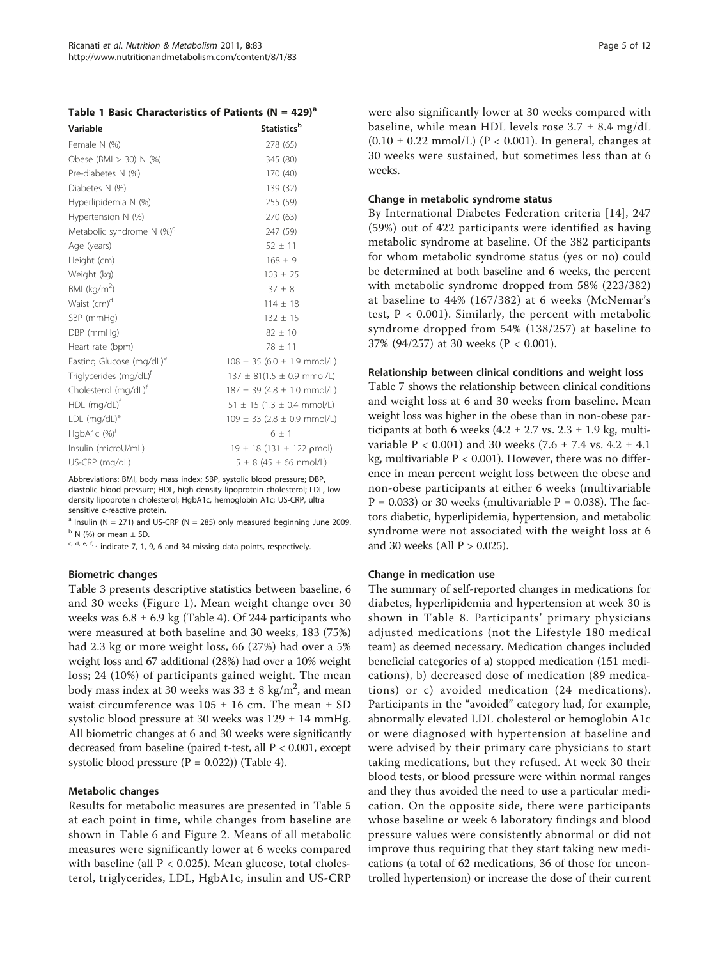<span id="page-4-0"></span>Table 1 Basic Characteristics of Patients (N =  $429)^a$ 

| Variable                             | Statistics <sup>b</sup>                  |
|--------------------------------------|------------------------------------------|
| Female N (%)                         | 278 (65)                                 |
| Obese (BMI > 30) N (%)               | 345 (80)                                 |
| Pre-diabetes N (%)                   | 170 (40)                                 |
| Diabetes N (%)                       | 139 (32)                                 |
| Hyperlipidemia N (%)                 | 255 (59)                                 |
| Hypertension N (%)                   | 270 (63)                                 |
| Metabolic syndrome N $(\%)^c$        | 247 (59)                                 |
| Age (years)                          | $52 \pm 11$                              |
| Height (cm)                          | $168 \pm 9$                              |
| Weight (kg)                          | $103 \pm 25$                             |
| BMI ( $kg/m2$ )                      | $37 \pm 8$                               |
| Waist (cm) <sup>d</sup>              | $114 \pm 18$                             |
| SBP (mmHg)                           | $132 \pm 15$                             |
| $DBP$ (mmHg)                         | $82 \pm 10$                              |
| Heart rate (bpm)                     | $78 \pm 11$                              |
| Fasting Glucose (mg/dL) <sup>e</sup> | $108 \pm 35$ (6.0 $\pm$ 1.9 mmol/L)      |
| Triglycerides (mg/dL) <sup>t</sup>   | $137 \pm 81(1.5 \pm 0.9 \text{ mmol/L})$ |
| Cholesterol (mg/dL)f                 | $187 \pm 39$ (4.8 $\pm$ 1.0 mmol/L)      |
| $HDL$ (mg/dL) <sup>†</sup>           | $51 \pm 15$ (1.3 $\pm$ 0.4 mmol/L)       |
| $LDL$ (mg/dL) <sup>e</sup>           | $109 \pm 33$ (2.8 $\pm$ 0.9 mmol/L)      |
| HgbA1c $(%)$                         | $6 + 1$                                  |
| Insulin (microU/mL)                  | $19 \pm 18$ (131 $\pm$ 122 pmol)         |
| US-CRP (mg/dL)                       | $5 \pm 8$ (45 $\pm$ 66 nmol/L)           |

Abbreviations: BMI, body mass index; SBP, systolic blood pressure; DBP, diastolic blood pressure; HDL, high-density lipoprotein cholesterol; LDL, lowdensity lipoprotein cholesterol; HgbA1c, hemoglobin A1c; US-CRP, ultra sensitive c-reactive protein.

 $a$  Insulin (N = 271) and US-CRP (N = 285) only measured beginning June 2009.  $<sup>b</sup>$  N (%) or mean  $\pm$  SD.</sup>

 $c, d, e, f, j$  indicate 7, 1, 9, 6 and 34 missing data points, respectively.

#### Biometric changes

Table [3](#page-6-0) presents descriptive statistics between baseline, 6 and 30 weeks (Figure [1](#page-6-0)). Mean weight change over 30 weeks was  $6.8 \pm 6.9$  kg (Table [4\)](#page-6-0). Of 244 participants who were measured at both baseline and 30 weeks, 183 (75%) had 2.3 kg or more weight loss, 66 (27%) had over a 5% weight loss and 67 additional (28%) had over a 10% weight loss; 24 (10%) of participants gained weight. The mean body mass index at 30 weeks was  $33 \pm 8$  kg/m<sup>2</sup>, and mean waist circumference was  $105 \pm 16$  cm. The mean  $\pm$  SD systolic blood pressure at 30 weeks was 129 ± 14 mmHg. All biometric changes at 6 and 30 weeks were significantly decreased from baseline (paired t-test, all P < 0.001, except systolic blood pressure  $(P = 0.022)$  (Table [4](#page-6-0)).

## Metabolic changes

Results for metabolic measures are presented in Table [5](#page-7-0) at each point in time, while changes from baseline are shown in Table [6](#page-8-0) and Figure [2.](#page-8-0) Means of all metabolic measures were significantly lower at 6 weeks compared with baseline (all  $P < 0.025$ ). Mean glucose, total cholesterol, triglycerides, LDL, HgbA1c, insulin and US-CRP were also significantly lower at 30 weeks compared with baseline, while mean HDL levels rose  $3.7 \pm 8.4$  mg/dL  $(0.10 \pm 0.22 \text{ mmol/L})$  (P < 0.001). In general, changes at 30 weeks were sustained, but sometimes less than at 6 weeks.

## Change in metabolic syndrome status

By International Diabetes Federation criteria [14], 247 (59%) out of 422 participants were identified as having metabolic syndrome at baseline. Of the 382 participants for whom metabolic syndrome status (yes or no) could be determined at both baseline and 6 weeks, the percent with metabolic syndrome dropped from 58% (223/382) at baseline to 44% (167/382) at 6 weeks (McNemar's test,  $P < 0.001$ ). Similarly, the percent with metabolic syndrome dropped from 54% (138/257) at baseline to 37% (94/257) at 30 weeks (P < 0.001).

#### Relationship between clinical conditions and weight loss

Table [7](#page-9-0) shows the relationship between clinical conditions and weight loss at 6 and 30 weeks from baseline. Mean weight loss was higher in the obese than in non-obese participants at both 6 weeks (4.2  $\pm$  2.7 vs. 2.3  $\pm$  1.9 kg, multivariable  $P < 0.001$ ) and 30 weeks (7.6  $\pm$  7.4 vs. 4.2  $\pm$  4.1 kg, multivariable  $P < 0.001$ ). However, there was no difference in mean percent weight loss between the obese and non-obese participants at either 6 weeks (multivariable  $P = 0.033$ ) or 30 weeks (multivariable  $P = 0.038$ ). The factors diabetic, hyperlipidemia, hypertension, and metabolic syndrome were not associated with the weight loss at 6 and 30 weeks (All  $P > 0.025$ ).

#### Change in medication use

The summary of self-reported changes in medications for diabetes, hyperlipidemia and hypertension at week 30 is shown in Table [8.](#page-9-0) Participants' primary physicians adjusted medications (not the Lifestyle 180 medical team) as deemed necessary. Medication changes included beneficial categories of a) stopped medication (151 medications), b) decreased dose of medication (89 medications) or c) avoided medication (24 medications). Participants in the "avoided" category had, for example, abnormally elevated LDL cholesterol or hemoglobin A1c or were diagnosed with hypertension at baseline and were advised by their primary care physicians to start taking medications, but they refused. At week 30 their blood tests, or blood pressure were within normal ranges and they thus avoided the need to use a particular medication. On the opposite side, there were participants whose baseline or week 6 laboratory findings and blood pressure values were consistently abnormal or did not improve thus requiring that they start taking new medications (a total of 62 medications, 36 of those for uncontrolled hypertension) or increase the dose of their current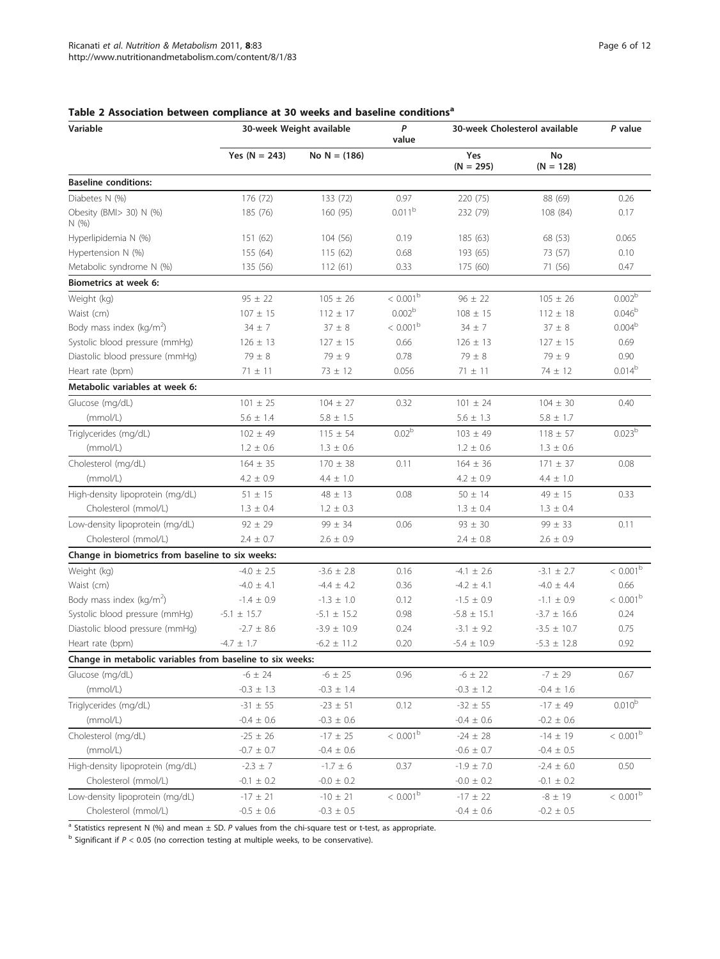30-week Cholesterol available  $P$  value

# value Yes ( $N = 243$ ) No  $N = (186)$  Yes  $(N = 295)$ No  $(N = 128)$ Baseline conditions: Diabetes N (%) 176 (72) 133 (72) 0.97 220 (75) 88 (69) 0.26 Obesity (BMI> 30) N (%) N (%) 185 (76) 160 (95) 0.011<sup>b</sup> 232 (79) 108 (84) 0.17 Hyperlipidemia N (%) 151 (62) 104 (56) 0.19 185 (63) 68 (53) 0.065 Hypertension N (%) 155 (64) 115 (62) 0.68 193 (65) 73 (57) 0.10 Metabolic syndrome N (%) 135 (56) 112 (61) 0.33 175 (60) 71 (56) 0.47 Biometrics at week 6: Weight (kg)  $95 \pm 22$   $105 \pm 26$   $< 0.001^{\circ}$   $96 \pm 22$   $105 \pm 26$   $0.002^{\circ}$ Waist (cm) 107 ± 15 112 ± 17 0.002<sup>b</sup> 108 ± 15 112 ± 18 0.046<sup>b</sup> Body mass index ( $kg/m<sup>2</sup>$ ) )  $34 \pm 7$   $37 \pm 8$   $< 0.001^{\circ}$   $34 \pm 7$   $37 \pm 8$   $0.004^{\circ}$ Systolic blood pressure (mmHg)  $126 \pm 13$   $127 \pm 15$  0.66  $126 \pm 13$   $127 \pm 15$  0.69 Diastolic blood pressure (mmHg)  $79 \pm 8$   $79 \pm 9$  0.78  $79 \pm 8$   $79 \pm 8$   $79 \pm 9$  0.90 Heart rate (bpm)  $71 \pm 11$   $73 \pm 12$   $0.056$   $71 \pm 11$   $74 \pm 12$   $0.014^2$ Metabolic variables at week 6: Glucose (mg/dL) 101 ± 25 104 ± 27 0.32 101 ± 24 104 ± 30 0.40  $(mmol/L)$  5.6 ± 1.4 5.8 ± 1.5 5.6 ± 1.3 5.8 ± 1.7 Triglycerides (mg/dL) 102 ± 49 115 ± 54 0.02<sup>b</sup> 103 ± 49 118 ± 57 0.023<sup>b</sup>  $(mmol/L)$  1.2 ± 0.6 1.3 ± 0.6 1.3 ± 0.6 1.3 ± 0.6 1.3 ± 0.6 Cholesterol (mg/dL) 164 ± 35 170 ± 38 0.11 164 ± 36 171 ± 37 0.08  $(\text{mmol/L})$  4.2 ± 0.9 4.4 ± 1.0 4.2 ± 0.9 4.4 ± 1.0 High-density lipoprotein (mg/dL)  $51 \pm 15$   $48 \pm 13$   $0.08$   $50 \pm 14$   $49 \pm 15$  0.33 Cholesterol (mmol/L)  $1.3 \pm 0.4$   $1.2 \pm 0.3$   $1.3 \pm 0.4$   $1.3 \pm 0.4$   $1.3 \pm 0.4$ Low-density lipoprotein (mg/dL)  $92 \pm 29$   $99 \pm 34$   $0.06$   $93 \pm 30$   $99 \pm 33$  0.11 Cholesterol (mmol/L) 2.4 ± 0.7 2.6 ± 0.9 2.4 ± 0.8 2.6 ± 0.9 Change in biometrics from baseline to six weeks: Weight (kg)  $-4.0 \pm 2.5$   $-3.6 \pm 2.8$  0.16  $-4.1 \pm 2.6$   $-3.1 \pm 2.7$   $< 0.001^{\frac{1}{2}}$ Waist (cm) -4.0 ± 4.1 -4.4 ± 4.2 0.36 -4.2 ± 4.1 -4.4 ± 4.2 +4.2 +4.2 +4.1 -4.0 ± 4.4 0.66 Body mass index  $(kg/m<sup>2</sup>)$ )  $-1.4 \pm 0.9$   $-1.3 \pm 1.0$   $0.12$   $-1.5 \pm 0.9$   $-1.1 \pm 0.9$   $< 0.001^{\frac{1}{2}}$ Systolic blood pressure (mmHg)  $-5.1 \pm 15.7$   $-5.1 \pm 15.2$  0.98  $-5.8 \pm 15.1$   $-3.7 \pm 16.6$  0.24 Diastolic blood pressure (mmHg)  $-2.7 \pm 8.6$   $-3.9 \pm 10.9$  0.24  $-3.1 \pm 9.2$   $-3.5 \pm 10.7$  0.75 Heart rate (bpm)  $-4.7 \pm 1.7$   $-6.2 \pm 11.2$  0.20  $-5.4 \pm 10.9$   $-5.3 \pm 12.8$  0.92 Change in metabolic variables from baseline to six weeks: Glucose (mg/dL) -6  $\pm$  24 -6  $\pm$  25 0.96 -6  $\pm$  22 -7  $\pm$  29 0.67  $(mmol/L)$  -0.3  $\pm$  1.3 -0.3  $\pm$  1.4 -0.3  $\pm$  1.2 -0.4  $\pm$  1.6 Triglycerides (mg/dL)  $-31 \pm 55$   $-23 \pm 51$  0.12  $-32 \pm 55$   $-17 \pm 49$  0.010<sup>b</sup>  $-(0.4 \pm 0.6)$  -0.4  $\pm 0.6$  -0.3  $\pm 0.6$  -0.4  $\pm 0.6$  -0.4  $\pm 0.6$  -0.2  $\pm 0.6$

Cholesterol (mg/dL)  $-25 \pm 26$   $-17 \pm 25$   $< 0.001^{\circ}$   $-24 \pm 28$   $-14 \pm 19$   $< 0.001^{\circ}$ 

High-density lipoprotein (mg/dL)  $-2.3 \pm 7$   $-1.7 \pm 6$  0.37  $-1.9 \pm 7.0$   $-2.4 \pm 6.0$  0.50

Low-density lipoprotein (mg/dL)  $-17 \pm 21$   $-10 \pm 21$   $< 0.001^{\circ}$   $-17 \pm 22$   $-8 \pm 19$   $< 0.001^{\circ}$ 

 $-mmol/L$  -0.7  $\pm$  0.7 -0.4  $\pm$  0.6 -0.6  $\pm$  0.7 -0.4  $\pm$  0.5

Cholesterol (mmol/L)  $-0.1 \pm 0.2$   $-0.0 \pm 0.2$   $-0.1 \pm 0.2$   $-0.1 \pm 0.2$ 

Cholesterol (mmol/L)  $-0.5 \pm 0.6$   $-0.3 \pm 0.5$   $-0.4 \pm 0.6$   $-0.2 \pm 0.5$ 

## <span id="page-5-0"></span>Table 2 Association between compliance at 30 weeks and baseline conditions<sup>a</sup>

Variable 2012 and 30-week Weight available 2012

 $^a$  Statistics represent N (%) and mean  $\pm$  SD. P values from the chi-square test or t-test, as appropriate.

 $b$  Significant if  $P < 0.05$  (no correction testing at multiple weeks, to be conservative).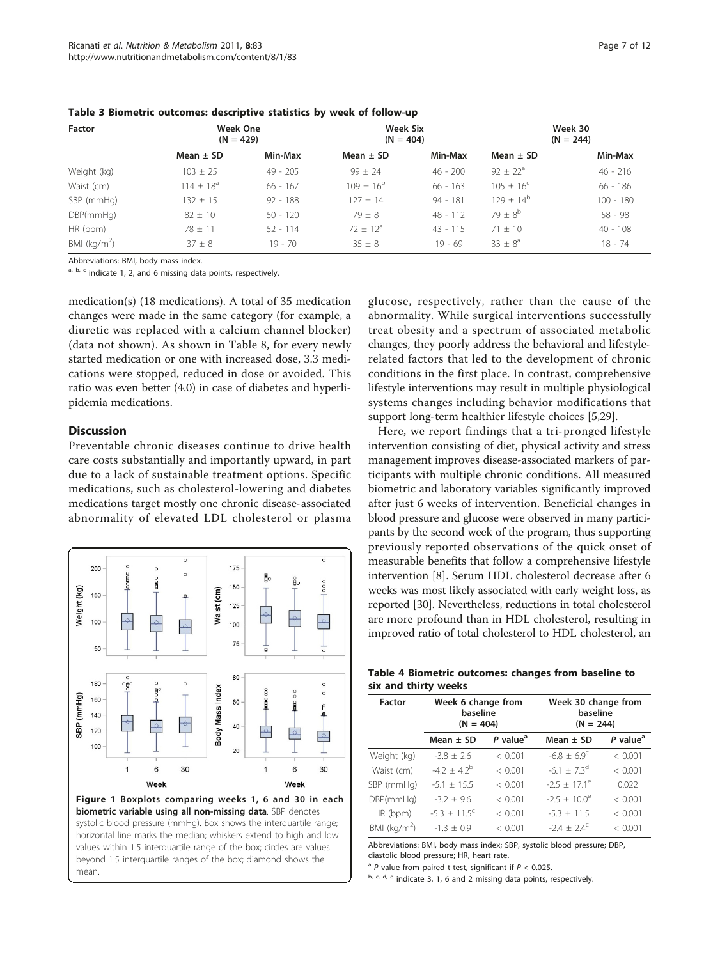| Factor        |                | <b>Week One</b><br>$(N = 429)$ |                | Week Six<br>$(N = 404)$ | Week 30<br>$(N = 244)$ |             |
|---------------|----------------|--------------------------------|----------------|-------------------------|------------------------|-------------|
|               | Mean $\pm$ SD  | Min-Max                        | Mean $\pm$ SD  | Min-Max                 | Mean $\pm$ SD          | Min-Max     |
| Weight (kg)   | $103 \pm 25$   | $49 - 205$                     | $99 + 24$      | $46 - 200$              | $92 \pm 22^{\circ}$    | $46 - 216$  |
| Waist (cm)    | $114 + 18^{a}$ | $66 - 167$                     | $109 + 16^{b}$ | $66 - 163$              | $105 + 16^{\circ}$     | $66 - 186$  |
| SBP (mmHg)    | $132 \pm 15$   | $92 - 188$                     | $127 + 14$     | $94 - 181$              | $129 + 14^{b}$         | $100 - 180$ |
| DBP(mmHq)     | $82 \pm 10$    | $50 - 120$                     | $79 + 8$       | $48 - 112$              | $79 + 8^{b}$           | $58 - 98$   |
| HR (bpm)      | $78 + 11$      | $52 - 114$                     | $72 + 12^a$    | $43 - 115$              | $71 + 10$              | $40 - 108$  |
| BMI $(kq/m2)$ | $37 \pm 8$     | $19 - 70$                      | $35 \pm 8$     | $19 - 69$               | $33 \pm 8^a$           | $18 - 74$   |

<span id="page-6-0"></span>Table 3 Biometric outcomes: descriptive statistics by week of follow-up

Abbreviations: BMI, body mass index.

 $a, b, c$  indicate 1, 2, and 6 missing data points, respectively.

medication(s) (18 medications). A total of 35 medication changes were made in the same category (for example, a diuretic was replaced with a calcium channel blocker) (data not shown). As shown in Table [8,](#page-9-0) for every newly started medication or one with increased dose, 3.3 medications were stopped, reduced in dose or avoided. This ratio was even better (4.0) in case of diabetes and hyperlipidemia medications.

## **Discussion**

Preventable chronic diseases continue to drive health care costs substantially and importantly upward, in part due to a lack of sustainable treatment options. Specific medications, such as cholesterol-lowering and diabetes medications target mostly one chronic disease-associated abnormality of elevated LDL cholesterol or plasma



glucose, respectively, rather than the cause of the abnormality. While surgical interventions successfully treat obesity and a spectrum of associated metabolic changes, they poorly address the behavioral and lifestylerelated factors that led to the development of chronic conditions in the first place. In contrast, comprehensive lifestyle interventions may result in multiple physiological systems changes including behavior modifications that support long-term healthier lifestyle choices [\[5](#page-10-0)[,29](#page-11-0)].

Here, we report findings that a tri-pronged lifestyle intervention consisting of diet, physical activity and stress management improves disease-associated markers of participants with multiple chronic conditions. All measured biometric and laboratory variables significantly improved after just 6 weeks of intervention. Beneficial changes in blood pressure and glucose were observed in many participants by the second week of the program, thus supporting previously reported observations of the quick onset of measurable benefits that follow a comprehensive lifestyle intervention [[8\]](#page-10-0). Serum HDL cholesterol decrease after 6 weeks was most likely associated with early weight loss, as reported [[30\]](#page-11-0). Nevertheless, reductions in total cholesterol are more profound than in HDL cholesterol, resulting in improved ratio of total cholesterol to HDL cholesterol, an

| Table 4 Biometric outcomes: changes from baseline to |  |  |  |
|------------------------------------------------------|--|--|--|
| six and thirty weeks                                 |  |  |  |

| Factor        | Week 6 change from<br>baseline<br>$(N = 404)$ |                      | Week 30 change from<br>baseline<br>$(N = 244)$ |                      |  |
|---------------|-----------------------------------------------|----------------------|------------------------------------------------|----------------------|--|
|               | Mean $\pm$ SD                                 | P value <sup>a</sup> | Mean $\pm$ SD                                  | P value <sup>a</sup> |  |
| Weight (kg)   | $-3.8 + 2.6$                                  | < 0.001              | $-6.8 \pm 6.9^{\circ}$                         | < 0.001              |  |
| Waist (cm)    | $-4.2 \pm 4.2^{b}$                            | < 0.001              | $-6.1 + 7.3^{d}$                               | < 0.001              |  |
| SBP (mmHg)    | $-5.1 \pm 15.5$                               | < 0.001              | $-2.5 + 17.1^{\circ}$                          | 0.022                |  |
| DBP(mmHq)     | $-3.2 + 9.6$                                  | < 0.001              | $-2.5 + 10.0^{\circ}$                          | < 0.001              |  |
| HR (bpm)      | $-5.3 \pm 11.5^{\circ}$                       | < 0.001              | $-5.3 + 11.5$                                  | < 0.001              |  |
| BMI $(kq/m2)$ | $-1.3 \pm 0.9$                                | < 0.001              | $-2.4 + 2.4^{\circ}$                           | < 0.001              |  |

Abbreviations: BMI, body mass index; SBP, systolic blood pressure; DBP, diastolic blood pressure; HR, heart rate.

 $a$  P value from paired t-test, significant if  $P < 0.025$ .

 $b, c, d, e$  indicate 3, 1, 6 and 2 missing data points, respectively.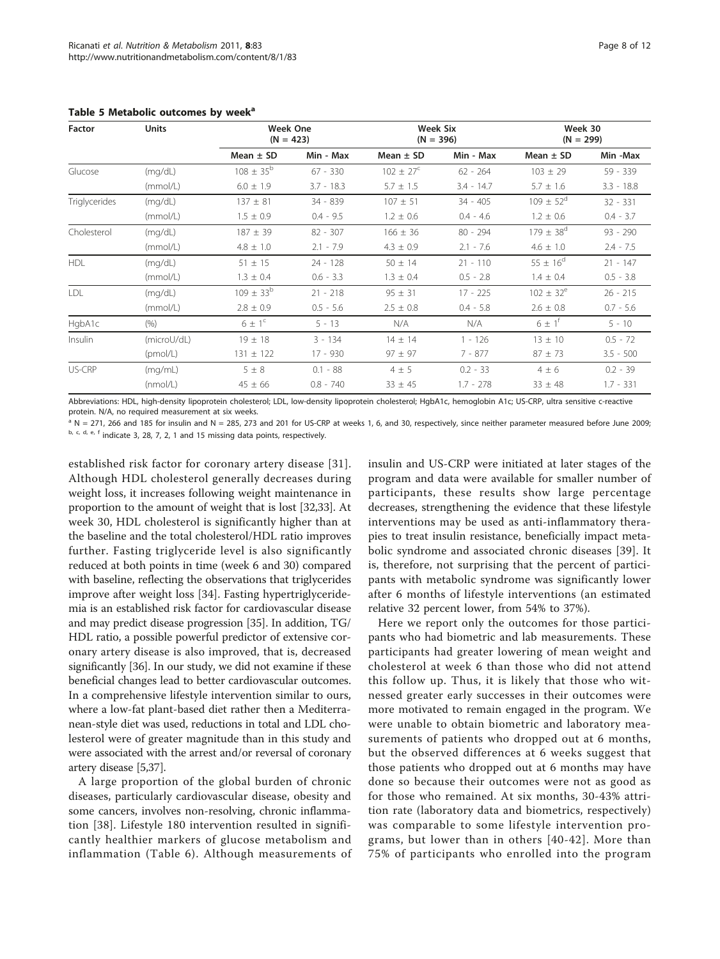<span id="page-7-0"></span>

| <b>Units</b><br><b>Factor</b> |          | <b>Week One</b><br>$(N = 423)$ |              | <b>Week Six</b><br>$(N = 396)$ |              | Week 30<br>$(N = 299)$ |              |
|-------------------------------|----------|--------------------------------|--------------|--------------------------------|--------------|------------------------|--------------|
|                               |          | Mean $\pm$ SD                  | Min - Max    | Mean $\pm$ SD                  | Min - Max    | Mean $\pm$ SD          | Min -Max     |
| Glucose                       | (mq/dL)  | $108 \pm 35^{\rm b}$           | $67 - 330$   | $102 + 27^{\circ}$             | $62 - 264$   | $103 \pm 29$           | $59 - 339$   |
|                               | (mmol/L) | $6.0 \pm 1.9$                  | $3.7 - 18.3$ | $5.7 \pm 1.5$                  | $3.4 - 14.7$ | $5.7 + 1.6$            | $3.3 - 18.8$ |
| <b>Triglycerides</b>          | (mq/dL)  | $137 + 81$                     | 34 - 839     | $107 + 51$                     | $34 - 405$   | $109 + 52^{\circ}$     | $32 - 331$   |
|                               | (mmol/L) | $1.5 \pm 0.9$                  | $0.4 - 9.5$  | $1.2 \pm 0.6$                  | $0.4 - 4.6$  | $1.2 \pm 0.6$          | $0.4 - 3.7$  |
| Cholesterol                   | (mq/dL)  | $187 \pm 39$                   | $82 - 307$   | $166 \pm 36$                   | $80 - 294$   | $179 + 38^d$           | $93 - 290$   |
|                               | (mmol/L) | $4.8 \pm 1.0$                  | $2.1 - 7.9$  | $4.3 \pm 0.9$                  | $2.1 - 7.6$  | $4.6 \pm 1.0$          | $2.4 - 7.5$  |

# Table 5 Metabolic

Abbreviations: HDL, high-density lipoprotein cholesterol; LDL, low-density lipoprotein cholesterol; HgbA1c, hemoglobin A1c; US-CRP, ultra sensitive c-reactive protein. N/A, no required measurement at six weeks.

US-CRP (mg/mL)  $5 \pm 8$  0.1 - 88  $4 \pm 5$  0.2 - 33  $4 \pm 6$  0.2 - 39

HDL (mg/dL) 51 ± 15 24 - 128 50 ± 14 21 - 110 55 ± 16<sup>d</sup> 21 - 147

LDL  $(mg/dL)$  109  $\pm 33^b$  21 - 218 95  $\pm 31$  17 - 225 102  $\pm 32^e$  26 - 215

HgbA1c (%) 6 ± 1<sup>c</sup> 5 - 13 N/A N/A 6 ± 1<sup>f</sup> 5 - 10 Insulin (microU/dL) 19 ± 18 3 - 134 14 ± 14 1 - 126 13 ± 10 0.5 - 72

 $(mmol/L)$  1.3  $\pm$  0.4 0.6 - 3.3 1.3  $\pm$  0.4 0.5 - 2.8 1.4  $\pm$  0.4 0.5 - 3.8

 $(mmol/L)$  2.8 ± 0.9 0.5 - 5.6 2.5 ± 0.8 0.4 - 5.8 2.6 ± 0.8 0.7 - 5.6

(pmol/L) 131 ± 122 17 - 930 97 ± 97 7 - 877 87 ± 73 3.5 - 500

(nmol/L)  $45 \pm 66$   $0.8 - 740$   $33 \pm 45$   $1.7 - 278$   $33 \pm 48$   $1.7 - 331$ 

 $a$  N = 271, 266 and 185 for insulin and N = 285, 273 and 201 for US-CRP at weeks 1, 6, and 30, respectively, since neither parameter measured before June 2009; b, c, d, e, f indicate 3, 28, 7, 2, 1 and 15 missing data points, respectively.

established risk factor for coronary artery disease [[31](#page-11-0)]. Although HDL cholesterol generally decreases during weight loss, it increases following weight maintenance in proportion to the amount of weight that is lost [\[32,33\]](#page-11-0). At week 30, HDL cholesterol is significantly higher than at the baseline and the total cholesterol/HDL ratio improves further. Fasting triglyceride level is also significantly reduced at both points in time (week 6 and 30) compared with baseline, reflecting the observations that triglycerides improve after weight loss [[34\]](#page-11-0). Fasting hypertriglyceridemia is an established risk factor for cardiovascular disease and may predict disease progression [\[35\]](#page-11-0). In addition, TG/ HDL ratio, a possible powerful predictor of extensive coronary artery disease is also improved, that is, decreased significantly [[36](#page-11-0)]. In our study, we did not examine if these beneficial changes lead to better cardiovascular outcomes. In a comprehensive lifestyle intervention similar to ours, where a low-fat plant-based diet rather then a Mediterranean-style diet was used, reductions in total and LDL cholesterol were of greater magnitude than in this study and were associated with the arrest and/or reversal of coronary artery disease [[5,](#page-10-0)[37](#page-11-0)].

A large proportion of the global burden of chronic diseases, particularly cardiovascular disease, obesity and some cancers, involves non-resolving, chronic inflammation [\[38\]](#page-11-0). Lifestyle 180 intervention resulted in significantly healthier markers of glucose metabolism and inflammation (Table [6](#page-8-0)). Although measurements of insulin and US-CRP were initiated at later stages of the program and data were available for smaller number of participants, these results show large percentage decreases, strengthening the evidence that these lifestyle interventions may be used as anti-inflammatory therapies to treat insulin resistance, beneficially impact metabolic syndrome and associated chronic diseases [[39\]](#page-11-0). It is, therefore, not surprising that the percent of participants with metabolic syndrome was significantly lower after 6 months of lifestyle interventions (an estimated relative 32 percent lower, from 54% to 37%).

Here we report only the outcomes for those participants who had biometric and lab measurements. These participants had greater lowering of mean weight and cholesterol at week 6 than those who did not attend this follow up. Thus, it is likely that those who witnessed greater early successes in their outcomes were more motivated to remain engaged in the program. We were unable to obtain biometric and laboratory measurements of patients who dropped out at 6 months, but the observed differences at 6 weeks suggest that those patients who dropped out at 6 months may have done so because their outcomes were not as good as for those who remained. At six months, 30-43% attrition rate (laboratory data and biometrics, respectively) was comparable to some lifestyle intervention programs, but lower than in others [[40-42\]](#page-11-0). More than 75% of participants who enrolled into the program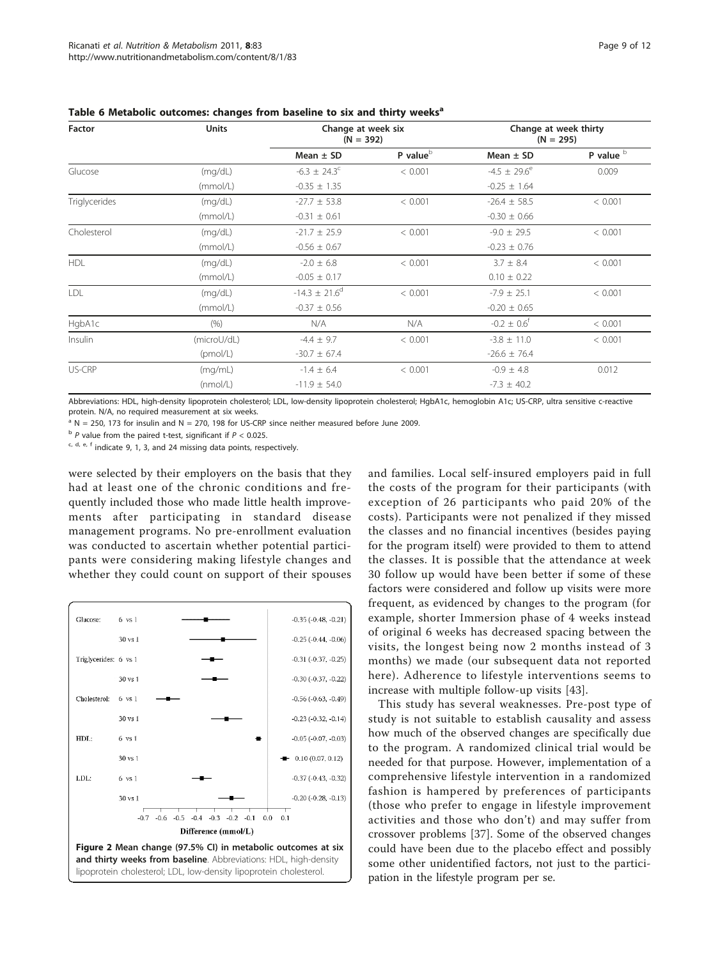| <b>Factor</b> | <b>Units</b> | Change at week six<br>$(N = 392)$ |                        | Change at week thirty<br>$(N = 295)$ |                        |
|---------------|--------------|-----------------------------------|------------------------|--------------------------------------|------------------------|
|               |              | Mean $\pm$ SD                     | P value $\overline{P}$ | Mean $\pm$ SD                        | P value $\overline{b}$ |
| Glucose       | (mq/dL)      | $-6.3 \pm 24.3^{\circ}$           | < 0.001                | $-4.5 \pm 29.6^e$                    | 0.009                  |
|               | (mmol/L)     | $-0.35 \pm 1.35$                  |                        | $-0.25 \pm 1.64$                     |                        |
| Triglycerides | (mq/dL)      | $-27.7 \pm 53.8$                  | < 0.001                | $-26.4 \pm 58.5$                     | < 0.001                |
|               | (mmol/L)     | $-0.31 \pm 0.61$                  |                        | $-0.30 \pm 0.66$                     |                        |
| Cholesterol   | (mq/dL)      | $-21.7 \pm 25.9$                  | < 0.001                | $-9.0 \pm 29.5$                      | < 0.001                |
|               | (mmol/L)     | $-0.56 \pm 0.67$                  |                        | $-0.23 \pm 0.76$                     |                        |
| <b>HDL</b>    | (mq/dL)      | $-2.0 \pm 6.8$                    | < 0.001                | $3.7 \pm 8.4$                        | < 0.001                |
|               | (mmol/L)     | $-0.05 \pm 0.17$                  |                        | $0.10 \pm 0.22$                      |                        |
| LDL           | (mq/dL)      | $-14.3 \pm 21.6^{\circ}$          | < 0.001                | $-7.9 \pm 25.1$                      | < 0.001                |
|               | (mmol/L)     | $-0.37 \pm 0.56$                  |                        | $-0.20 \pm 0.65$                     |                        |
| HgbA1c        | (9/6)        | N/A                               | N/A                    | $-0.2 \pm 0.6^{\dagger}$             | < 0.001                |
| Insulin       | (microU/dL)  | $-4.4 \pm 9.7$                    | < 0.001                | $-3.8 \pm 11.0$                      | < 0.001                |
|               | (pmol/L)     | $-30.7 \pm 67.4$                  |                        | $-26.6 \pm 76.4$                     |                        |
| US-CRP        | (mq/mL)      | $-1.4 \pm 6.4$                    | < 0.001                | $-0.9 \pm 4.8$                       | 0.012                  |
|               | (mmol/L)     | $-11.9 \pm 54.0$                  |                        | $-7.3 \pm 40.2$                      |                        |

<span id="page-8-0"></span>Table 6 Metabolic outcomes: changes from baseline to six and thirty weeks<sup>a</sup>

Abbreviations: HDL, high-density lipoprotein cholesterol; LDL, low-density lipoprotein cholesterol; HgbA1c, hemoglobin A1c; US-CRP, ultra sensitive c-reactive protein. N/A, no required measurement at six weeks.

 $a$  N = 250, 173 for insulin and N = 270, 198 for US-CRP since neither measured before June 2009.

 $b$  P value from the paired t-test, significant if  $P < 0.025$ .

 $c, d, e, f$  indicate 9, 1, 3, and 24 missing data points, respectively.

were selected by their employers on the basis that they had at least one of the chronic conditions and frequently included those who made little health improvements after participating in standard disease management programs. No pre-enrollment evaluation was conducted to ascertain whether potential participants were considering making lifestyle changes and whether they could count on support of their spouses



and families. Local self-insured employers paid in full the costs of the program for their participants (with exception of 26 participants who paid 20% of the costs). Participants were not penalized if they missed the classes and no financial incentives (besides paying for the program itself) were provided to them to attend the classes. It is possible that the attendance at week 30 follow up would have been better if some of these factors were considered and follow up visits were more frequent, as evidenced by changes to the program (for example, shorter Immersion phase of 4 weeks instead of original 6 weeks has decreased spacing between the visits, the longest being now 2 months instead of 3 months) we made (our subsequent data not reported here). Adherence to lifestyle interventions seems to increase with multiple follow-up visits [\[43](#page-11-0)].

This study has several weaknesses. Pre-post type of study is not suitable to establish causality and assess how much of the observed changes are specifically due to the program. A randomized clinical trial would be needed for that purpose. However, implementation of a comprehensive lifestyle intervention in a randomized fashion is hampered by preferences of participants (those who prefer to engage in lifestyle improvement activities and those who don't) and may suffer from crossover problems [\[37](#page-11-0)]. Some of the observed changes could have been due to the placebo effect and possibly some other unidentified factors, not just to the participation in the lifestyle program per se.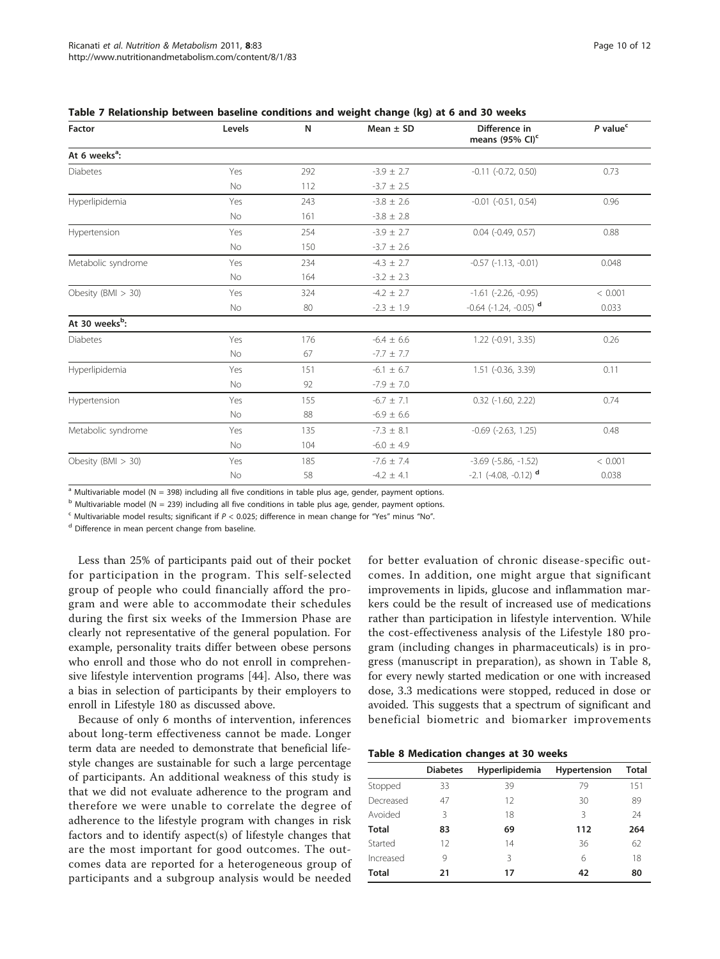| Factor                     | Levels    | N   | Mean $\pm$ SD  | Difference in<br>means (95% CI) <sup>c</sup> | $P$ value <sup>c</sup> |
|----------------------------|-----------|-----|----------------|----------------------------------------------|------------------------|
| At 6 weeks <sup>a</sup> :  |           |     |                |                                              |                        |
| <b>Diabetes</b>            | Yes       | 292 | $-3.9 \pm 2.7$ | $-0.11$ $(-0.72, 0.50)$                      | 0.73                   |
|                            | No        | 112 | $-3.7 \pm 2.5$ |                                              |                        |
| Hyperlipidemia             | Yes       | 243 | $-3.8 \pm 2.6$ | $-0.01$ $(-0.51, 0.54)$                      | 0.96                   |
|                            | No        | 161 | $-3.8 \pm 2.8$ |                                              |                        |
| Hypertension               | Yes       | 254 | $-3.9 \pm 2.7$ | $0.04$ ( $-0.49$ , $0.57$ )                  | 0.88                   |
|                            | No        | 150 | $-3.7 \pm 2.6$ |                                              |                        |
| Metabolic syndrome         | Yes       | 234 | $-4.3 \pm 2.7$ | $-0.57$ $(-1.13, -0.01)$                     | 0.048                  |
|                            | <b>No</b> | 164 | $-3.2 \pm 2.3$ |                                              |                        |
| Obesity (BMI $>$ 30)       | Yes       | 324 | $-4.2 \pm 2.7$ | $-1.61$ $(-2.26, -0.95)$                     | < 0.001                |
|                            | No        | 80  | $-2.3 \pm 1.9$ | $-0.64$ ( $-1.24$ , $-0.05$ ) d              | 0.033                  |
| At 30 weeks <sup>b</sup> : |           |     |                |                                              |                        |
| <b>Diabetes</b>            | Yes       | 176 | $-6.4 \pm 6.6$ | $1.22$ (-0.91, 3.35)                         | 0.26                   |
|                            | <b>No</b> | 67  | $-7.7 \pm 7.7$ |                                              |                        |
| Hyperlipidemia             | Yes       | 151 | $-6.1 \pm 6.7$ | $1.51$ (-0.36, 3.39)                         | 0.11                   |
|                            | <b>No</b> | 92  | $-7.9 \pm 7.0$ |                                              |                        |
| Hypertension               | Yes       | 155 | $-6.7 \pm 7.1$ | $0.32$ ( $-1.60$ , $2.22$ )                  | 0.74                   |
|                            | No        | 88  | $-6.9 \pm 6.6$ |                                              |                        |
| Metabolic syndrome         | Yes       | 135 | $-7.3 \pm 8.1$ | $-0.69$ $(-2.63, 1.25)$                      | 0.48                   |
|                            | No        | 104 | $-6.0 \pm 4.9$ |                                              |                        |
| Obesity (BMI $>$ 30)       | Yes       | 185 | $-7.6 \pm 7.4$ | $-3.69$ $(-5.86, -1.52)$                     | < 0.001                |
|                            | No        | 58  | $-4.2 \pm 4.1$ | $-2.1$ ( $-4.08$ , $-0.12$ ) <sup>d</sup>    | 0.038                  |

<span id="page-9-0"></span>Table 7 Relationship between baseline conditions and weight change (kg) at 6 and 30 weeks

 $\frac{a}{b}$  Multivariable model (N = 398) including all five conditions in table plus age, gender, payment options.

 $<sup>b</sup>$  Multivariable model (N = 239) including all five conditions in table plus age, gender, payment options.</sup>

 $\epsilon$  Multivariable model results; significant if  $P < 0.025$ ; difference in mean change for "Yes" minus "No".

<sup>d</sup> Difference in mean percent change from baseline.

Less than 25% of participants paid out of their pocket for participation in the program. This self-selected group of people who could financially afford the program and were able to accommodate their schedules during the first six weeks of the Immersion Phase are clearly not representative of the general population. For example, personality traits differ between obese persons who enroll and those who do not enroll in comprehensive lifestyle intervention programs [[44](#page-11-0)]. Also, there was a bias in selection of participants by their employers to enroll in Lifestyle 180 as discussed above.

Because of only 6 months of intervention, inferences about long-term effectiveness cannot be made. Longer term data are needed to demonstrate that beneficial lifestyle changes are sustainable for such a large percentage of participants. An additional weakness of this study is that we did not evaluate adherence to the program and therefore we were unable to correlate the degree of adherence to the lifestyle program with changes in risk factors and to identify aspect(s) of lifestyle changes that are the most important for good outcomes. The outcomes data are reported for a heterogeneous group of participants and a subgroup analysis would be needed

for better evaluation of chronic disease-specific outcomes. In addition, one might argue that significant improvements in lipids, glucose and inflammation markers could be the result of increased use of medications rather than participation in lifestyle intervention. While the cost-effectiveness analysis of the Lifestyle 180 program (including changes in pharmaceuticals) is in progress (manuscript in preparation), as shown in Table 8, for every newly started medication or one with increased dose, 3.3 medications were stopped, reduced in dose or avoided. This suggests that a spectrum of significant and beneficial biometric and biomarker improvements

Table 8 Medication changes at 30 weeks

|           | <b>Diabetes</b> | Hyperlipidemia | Hypertension | Total |
|-----------|-----------------|----------------|--------------|-------|
|           |                 |                |              |       |
| Stopped   | 33              | 39             | 79           | 151   |
| Decreased | 47              | 12             | 30           | 89    |
| Avoided   | ξ               | 18             | Β            | 24    |
| Total     | 83              | 69             | 112          | 264   |
| Started   | 12              | 14             | 36           | 62    |
| Increased | 9               | 3              | 6            | 18    |
| Total     | 21              | 17             | 42           | 80    |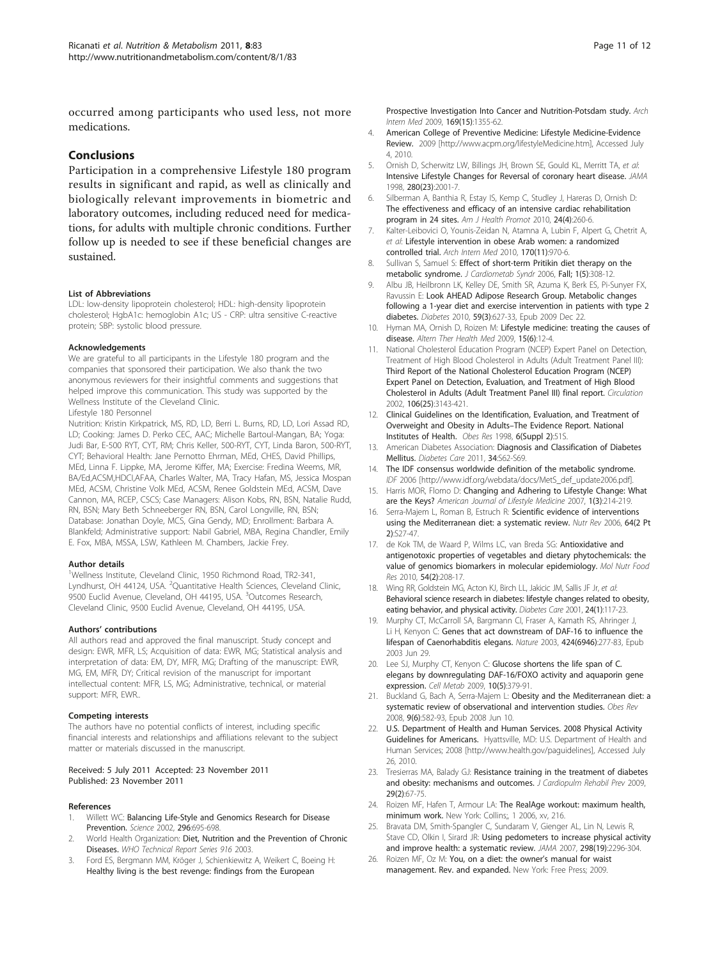<span id="page-10-0"></span>occurred among participants who used less, not more medications.

# Conclusions

Participation in a comprehensive Lifestyle 180 program results in significant and rapid, as well as clinically and biologically relevant improvements in biometric and laboratory outcomes, including reduced need for medications, for adults with multiple chronic conditions. Further follow up is needed to see if these beneficial changes are sustained.

#### List of Abbreviations

LDL: low-density lipoprotein cholesterol; HDL: high-density lipoprotein cholesterol; HgbA1c: hemoglobin A1c; US - CRP: ultra sensitive C-reactive protein; SBP: systolic blood pressure.

#### Acknowledgements

We are grateful to all participants in the Lifestyle 180 program and the companies that sponsored their participation. We also thank the two anonymous reviewers for their insightful comments and suggestions that helped improve this communication. This study was supported by the Wellness Institute of the Cleveland Clinic. Lifestyle 180 Personnel

Nutrition: Kristin Kirkpatrick, MS, RD, LD, Berri L. Burns, RD, LD, Lori Assad RD, LD; Cooking: James D. Perko CEC, AAC; Michelle Bartoul-Mangan, BA; Yoga: Judi Bar, E-500 RYT, CYT, RM; Chris Keller, 500-RYT, CYT, Linda Baron, 500-RYT, CYT; Behavioral Health: Jane Pernotto Ehrman, MEd, CHES, David Phillips, MEd, Linna F. Lippke, MA, Jerome Kiffer, MA; Exercise: Fredina Weems, MR, BA/Ed,ACSM,HDCI,AFAA, Charles Walter, MA, Tracy Hafan, MS, Jessica Mospan MEd, ACSM, Christine Volk MEd, ACSM, Renee Goldstein MEd, ACSM, Dave Cannon, MA, RCEP, CSCS; Case Managers: Alison Kobs, RN, BSN, Natalie Rudd, RN, BSN; Mary Beth Schneeberger RN, BSN, Carol Longville, RN, BSN; Database: Jonathan Doyle, MCS, Gina Gendy, MD; Enrollment: Barbara A. Blankfeld; Administrative support: Nabil Gabriel, MBA, Regina Chandler, Emily E. Fox, MBA, MSSA, LSW, Kathleen M. Chambers, Jackie Frey.

#### Author details

<sup>1</sup>Wellness Institute, Cleveland Clinic, 1950 Richmond Road, TR2-341, Lyndhurst, OH 44124, USA. <sup>2</sup>Quantitative Health Sciences, Cleveland Clinic, 9500 Euclid Avenue, Cleveland, OH 44195, USA. <sup>3</sup>Outcomes Research, Cleveland Clinic, 9500 Euclid Avenue, Cleveland, OH 44195, USA.

#### Authors' contributions

All authors read and approved the final manuscript. Study concept and design: EWR, MFR, LS; Acquisition of data: EWR, MG; Statistical analysis and interpretation of data: EM, DY, MFR, MG; Drafting of the manuscript: EWR, MG, EM, MFR, DY; Critical revision of the manuscript for important intellectual content: MFR, LS, MG; Administrative, technical, or material support: MFR, EWR..

#### Competing interests

The authors have no potential conflicts of interest, including specific financial interests and relationships and affiliations relevant to the subject matter or materials discussed in the manuscript.

#### Received: 5 July 2011 Accepted: 23 November 2011 Published: 23 November 2011

#### References

- Willett WC: [Balancing Life-Style and Genomics Research for Disease](http://www.ncbi.nlm.nih.gov/pubmed/11976443?dopt=Abstract) [Prevention.](http://www.ncbi.nlm.nih.gov/pubmed/11976443?dopt=Abstract) Science 2002, 296:695-698.
- 2. World Health Organization: Diet, Nutrition and the Prevention of Chronic Diseases. WHO Technical Report Series 916 2003.
- 3. Ford ES, Bergmann MM, Kröger J, Schienkiewitz A, Weikert C, Boeing H: [Healthy living is the best revenge: findings from the European](http://www.ncbi.nlm.nih.gov/pubmed/19667296?dopt=Abstract)

[Prospective Investigation Into Cancer and Nutrition-Potsdam study.](http://www.ncbi.nlm.nih.gov/pubmed/19667296?dopt=Abstract) Arch Intern Med 2009, 169(15):1355-62.

- 4. American College of Preventive Medicine: Lifestyle Medicine-Evidence Review. 2009 [[http://www.acpm.org/lifestyleMedicine.htm\]](http://www.acpm.org/lifestyleMedicine.htm), Accessed July 4, 2010.
- 5. Ornish D, Scherwitz LW, Billings JH, Brown SE, Gould KL, Merritt TA, et al: [Intensive Lifestyle Changes for Reversal of coronary heart disease.](http://www.ncbi.nlm.nih.gov/pubmed/9863851?dopt=Abstract) JAMA 1998, 280(23):2001-7.
- 6. Silberman A, Banthia R, Estay IS, Kemp C, Studley J, Hareras D, Ornish D: [The effectiveness and efficacy of an intensive cardiac rehabilitation](http://www.ncbi.nlm.nih.gov/pubmed/20232608?dopt=Abstract) [program in 24 sites.](http://www.ncbi.nlm.nih.gov/pubmed/20232608?dopt=Abstract) Am J Health Promot 2010, 24(4):260-6.
- 7. Kalter-Leibovici O, Younis-Zeidan N, Atamna A, Lubin F, Alpert G, Chetrit A, et al: [Lifestyle intervention in obese Arab women: a randomized](http://www.ncbi.nlm.nih.gov/pubmed/20548010?dopt=Abstract) [controlled trial.](http://www.ncbi.nlm.nih.gov/pubmed/20548010?dopt=Abstract) Arch Intern Med 2010, 170(11):970-6.
- 8. Sullivan S, Samuel S: Effect of short-term Pritikin diet therapy on the metabolic syndrome. J Cardiometab Syndr 2006, Fall; 1(5):308-12.
- 9. Albu JB, Heilbronn LK, Kelley DE, Smith SR, Azuma K, Berk ES, Pi-Sunyer FX, Ravussin E: [Look AHEAD Adipose Research Group. Metabolic changes](http://www.ncbi.nlm.nih.gov/pubmed/20028945?dopt=Abstract) [following a 1-year diet and exercise intervention in patients with type 2](http://www.ncbi.nlm.nih.gov/pubmed/20028945?dopt=Abstract) [diabetes.](http://www.ncbi.nlm.nih.gov/pubmed/20028945?dopt=Abstract) Diabetes 2010, 59(3):627-33, Epub 2009 Dec 22.
- 10. Hyman MA, Ornish D, Roizen M: [Lifestyle medicine: treating the causes of](http://www.ncbi.nlm.nih.gov/pubmed/19943572?dopt=Abstract) [disease.](http://www.ncbi.nlm.nih.gov/pubmed/19943572?dopt=Abstract) Altern Ther Health Med 2009, 15(6):12-4.
- 11. National Cholesterol Education Program (NCEP) Expert Panel on Detection, Treatment of High Blood Cholesterol in Adults (Adult Treatment Panel III): [Third Report of the National Cholesterol Education Program \(NCEP\)](http://www.ncbi.nlm.nih.gov/pubmed/12485966?dopt=Abstract) [Expert Panel on Detection, Evaluation, and Treatment of High Blood](http://www.ncbi.nlm.nih.gov/pubmed/12485966?dopt=Abstract) [Cholesterol in Adults \(Adult Treatment Panel III\) final report.](http://www.ncbi.nlm.nih.gov/pubmed/12485966?dopt=Abstract) Circulation 2002, 106(25):3143-421.
- 12. Clinical Guidelines on the Identification, Evaluation, and Treatment of Overweight and Obesity in Adults–The Evidence Report. National Institutes of Health. Obes Res 1998, 6(Suppl 2):51S.
- 13. American Diabetes Association: [Diagnosis and Classification of Diabetes](http://www.ncbi.nlm.nih.gov/pubmed/21193628?dopt=Abstract) [Mellitus.](http://www.ncbi.nlm.nih.gov/pubmed/21193628?dopt=Abstract) Diabetes Care 2011, 34:S62-S69.
- 14. The IDF consensus worldwide definition of the metabolic syndrome. IDF 2006 [[http://www.idf.org/webdata/docs/MetS\\_def\\_update2006.pdf](http://www.idf.org/webdata/docs/MetS_def_update2006.pdf)].
- 15. Harris MOR, Flomo D: Changing and Adhering to Lifestyle Change: What are the Keys? American Journal of Lifestyle Medicine 2007, 1(3):214-219.
- 16. Serra-Majem L, Roman B, Estruch R: [Scientific evidence of interventions](http://www.ncbi.nlm.nih.gov/pubmed/16532897?dopt=Abstract) [using the Mediterranean diet: a systematic review.](http://www.ncbi.nlm.nih.gov/pubmed/16532897?dopt=Abstract) Nutr Rev 2006, 64(2 Pt 2):S27-47.
- 17. de Kok TM, de Waard P, Wilms LC, van Breda SG: [Antioxidative and](http://www.ncbi.nlm.nih.gov/pubmed/20024933?dopt=Abstract) [antigenotoxic properties of vegetables and dietary phytochemicals: the](http://www.ncbi.nlm.nih.gov/pubmed/20024933?dopt=Abstract) [value of genomics biomarkers in molecular epidemiology.](http://www.ncbi.nlm.nih.gov/pubmed/20024933?dopt=Abstract) Mol Nutr Food Res 2010, 54(2):208-17.
- 18. Wing RR, Goldstein MG, Acton KJ, Birch LL, Jakicic JM, Sallis JF Jr, et al: [Behavioral science research in diabetes: lifestyle changes related to obesity,](http://www.ncbi.nlm.nih.gov/pubmed/11194216?dopt=Abstract) [eating behavior, and physical activity.](http://www.ncbi.nlm.nih.gov/pubmed/11194216?dopt=Abstract) Diabetes Care 2001, 24(1):117-23.
- 19. Murphy CT, McCarroll SA, Bargmann CI, Fraser A, Kamath RS, Ahringer J, Li H, Kenyon C: [Genes that act downstream of DAF-16 to influence the](http://www.ncbi.nlm.nih.gov/pubmed/12845331?dopt=Abstract) [lifespan of Caenorhabditis elegans.](http://www.ncbi.nlm.nih.gov/pubmed/12845331?dopt=Abstract) Nature 2003, 424(6946):277-83, Epub 2003 Jun 29.
- 20. Lee SJ, Murphy CT, Kenyon C: [Glucose shortens the life span of C.](http://www.ncbi.nlm.nih.gov/pubmed/19883616?dopt=Abstract) [elegans by downregulating DAF-16/FOXO activity and aquaporin gene](http://www.ncbi.nlm.nih.gov/pubmed/19883616?dopt=Abstract) [expression.](http://www.ncbi.nlm.nih.gov/pubmed/19883616?dopt=Abstract) Cell Metab 2009, 10(5):379-91.
- 21. Buckland G, Bach A, Serra-Majem L: [Obesity and the Mediterranean diet: a](http://www.ncbi.nlm.nih.gov/pubmed/18547378?dopt=Abstract) [systematic review of observational and intervention studies.](http://www.ncbi.nlm.nih.gov/pubmed/18547378?dopt=Abstract) Obes Rev 2008, 9(6):582-93, Epub 2008 Jun 10.
- U.S. Department of Health and Human Services. 2008 Physical Activity Guidelines for Americans. Hyattsville, MD: U.S. Department of Health and Human Services; 2008 [<http://www.health.gov/paguidelines>], Accessed July 26, 2010.
- 23. Tresierras MA, Balady GJ: [Resistance training in the treatment of diabetes](http://www.ncbi.nlm.nih.gov/pubmed/19305230?dopt=Abstract) [and obesity: mechanisms and outcomes.](http://www.ncbi.nlm.nih.gov/pubmed/19305230?dopt=Abstract) J Cardiopulm Rehabil Prev 2009, 29(2):67-75.
- 24. Roizen MF, Hafen T, Armour LA: The RealAge workout: maximum health, minimum work. New York: Collins;, 1 2006, xv, 216.
- 25. Bravata DM, Smith-Spangler C, Sundaram V, Gienger AL, Lin N, Lewis R, Stave CD, Olkin I, Sirard JR: [Using pedometers to increase physical activity](http://www.ncbi.nlm.nih.gov/pubmed/18029834?dopt=Abstract) [and improve health: a systematic review.](http://www.ncbi.nlm.nih.gov/pubmed/18029834?dopt=Abstract) JAMA 2007, 298(19):2296-304.
- 26. Roizen MF, Oz M: You, on a diet: the owner's manual for waist management. Rev. and expanded. New York: Free Press; 2009.